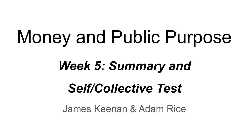# Money and Public Purpose

### *Week 5: Summary and*

## *Self/Collective Test*

James Keenan & Adam Rice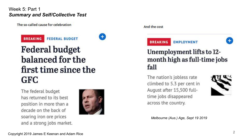The so-called cause for celebration





### **Federal budget** balanced for the first time since the **GFC**

The federal budget has returned to its hest position in more than a decade on the back of soaring iron ore prices and a strong jobs market.



And the cost



**EMPLOYMENT** 



#### Unemployment lifts to 12month high as full-time jobs fall

The nation's jobless rate climbed to 5.3 per cent in August after 15,500 fulltime jobs disappeared across the country.



*Melbourne (Aus.) Age, Sept 19 2019*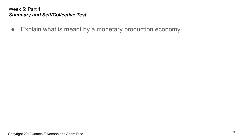● Explain what is meant by a monetary production economy.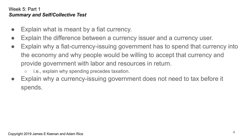- Explain what is meant by a fiat currency.
- Explain the difference between a currency issuer and a currency user.
- Explain why a fiat-currency-issuing government has to spend that currency into the economy and why people would be willing to accept that currency and provide government with labor and resources in return.
	- i.e., explain why spending precedes taxation.
- Explain why a currency-issuing government does not need to tax before it spends.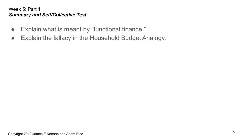- Explain what is meant by "functional finance."
- Explain the fallacy in the Household Budget Analogy.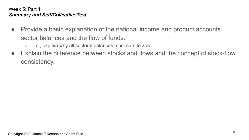- Provide a basic explanation of the national income and product accounts, sector balances and the flow of funds.
	- i.e., explain why all sectoral balances must sum to zero.
- Explain the difference between stocks and flows and the concept of stock-flow consistency.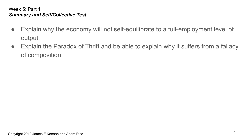- Explain why the economy will not self-equilibrate to a full-employment level of output.
- Explain the Paradox of Thrift and be able to explain why it suffers from a fallacy of composition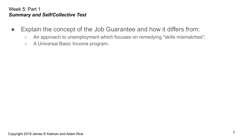- Explain the concept of the Job Guarantee and how it differs from:
	- An approach to unemployment which focuses on remedying "skills mismatches";
	- A Universal Basic Income program.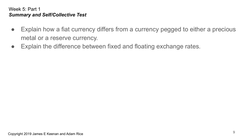- Explain how a fiat currency differs from a currency pegged to either a precious metal or a reserve currency.
- Explain the difference between fixed and floating exchange rates.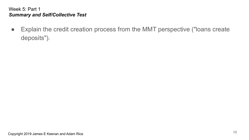● Explain the credit creation process from the MMT perspective ("loans create deposits").